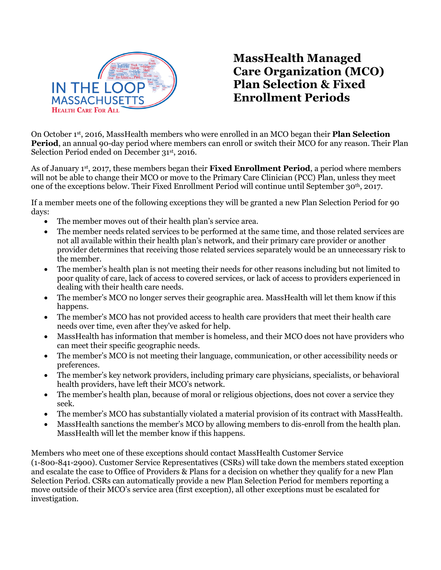

## **MassHealth Managed Care Organization (MCO) Plan Selection & Fixed Enrollment Periods**

On October 1st, 2016, MassHealth members who were enrolled in an MCO began their **Plan Selection Period**, an annual 90-day period where members can enroll or switch their MCO for any reason. Their Plan Selection Period ended on December 31st, 2016.

As of January 1st, 2017, these members began their **Fixed Enrollment Period**, a period where members will not be able to change their MCO or move to the Primary Care Clinician (PCC) Plan, unless they meet one of the exceptions below. Their Fixed Enrollment Period will continue until September 30th, 2017.

If a member meets one of the following exceptions they will be granted a new Plan Selection Period for 90 days:

- The member moves out of their health plan's service area.
- The member needs related services to be performed at the same time, and those related services are not all available within their health plan's network, and their primary care provider or another provider determines that receiving those related services separately would be an unnecessary risk to the member.
- The member's health plan is not meeting their needs for other reasons including but not limited to poor quality of care, lack of access to covered services, or lack of access to providers experienced in dealing with their health care needs.
- The member's MCO no longer serves their geographic area. MassHealth will let them know if this happens.
- The member's MCO has not provided access to health care providers that meet their health care needs over time, even after they've asked for help.
- MassHealth has information that member is homeless, and their MCO does not have providers who can meet their specific geographic needs.
- The member's MCO is not meeting their language, communication, or other accessibility needs or preferences.
- The member's key network providers, including primary care physicians, specialists, or behavioral health providers, have left their MCO's network.
- The member's health plan, because of moral or religious objections, does not cover a service they seek.
- The member's MCO has substantially violated a material provision of its contract with MassHealth.
- MassHealth sanctions the member's MCO by allowing members to dis-enroll from the health plan. MassHealth will let the member know if this happens.

Members who meet one of these exceptions should contact MassHealth Customer Service (1-800-841-2900). Customer Service Representatives (CSRs) will take down the members stated exception and escalate the case to Office of Providers & Plans for a decision on whether they qualify for a new Plan Selection Period. CSRs can automatically provide a new Plan Selection Period for members reporting a move outside of their MCO's service area (first exception), all other exceptions must be escalated for investigation.